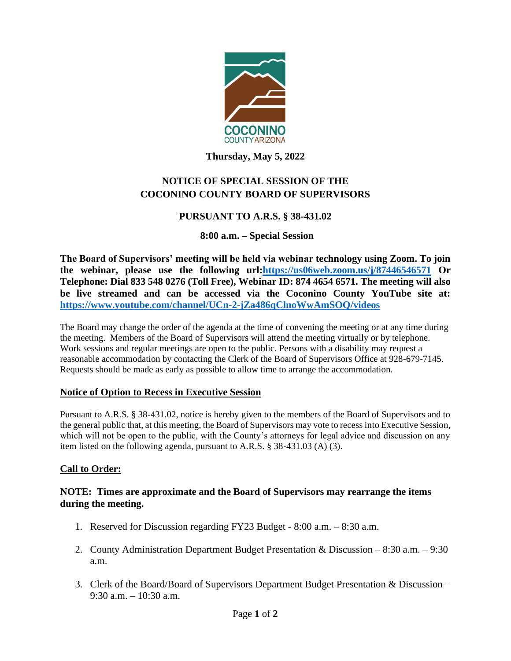

### **Thursday, May 5, 2022**

# **NOTICE OF SPECIAL SESSION OF THE COCONINO COUNTY BOARD OF SUPERVISORS**

## **PURSUANT TO A.R.S. § 38-431.02**

### **8:00 a.m. – Special Session**

**The Board of Supervisors' meeting will be held via webinar technology using Zoom. To join the webinar, please use the following url[:https://us06web.zoom.us/j/87446546571](https://us06web.zoom.us/j/87446546571) Or Telephone: Dial 833 548 0276 (Toll Free), Webinar ID: 874 4654 6571. The meeting will also be live streamed and can be accessed via the Coconino County YouTube site at: <https://www.youtube.com/channel/UCn-2-jZa486qClnoWwAmSOQ/videos>**

The Board may change the order of the agenda at the time of convening the meeting or at any time during the meeting. Members of the Board of Supervisors will attend the meeting virtually or by telephone. Work sessions and regular meetings are open to the public. Persons with a disability may request a reasonable accommodation by contacting the Clerk of the Board of Supervisors Office at 928-679-7145. Requests should be made as early as possible to allow time to arrange the accommodation.

### **Notice of Option to Recess in Executive Session**

Pursuant to A.R.S. § 38-431.02, notice is hereby given to the members of the Board of Supervisors and to the general public that, at this meeting, the Board of Supervisors may vote to recess into Executive Session, which will not be open to the public, with the County's attorneys for legal advice and discussion on any item listed on the following agenda, pursuant to A.R.S. § 38-431.03 (A) (3).

### **Call to Order:**

### **NOTE: Times are approximate and the Board of Supervisors may rearrange the items during the meeting.**

- 1. Reserved for Discussion regarding FY23 Budget 8:00 a.m. 8:30 a.m.
- 2. County Administration Department Budget Presentation & Discussion 8:30 a.m. 9:30 a.m.
- 3. Clerk of the Board/Board of Supervisors Department Budget Presentation & Discussion 9:30 a.m. – 10:30 a.m.